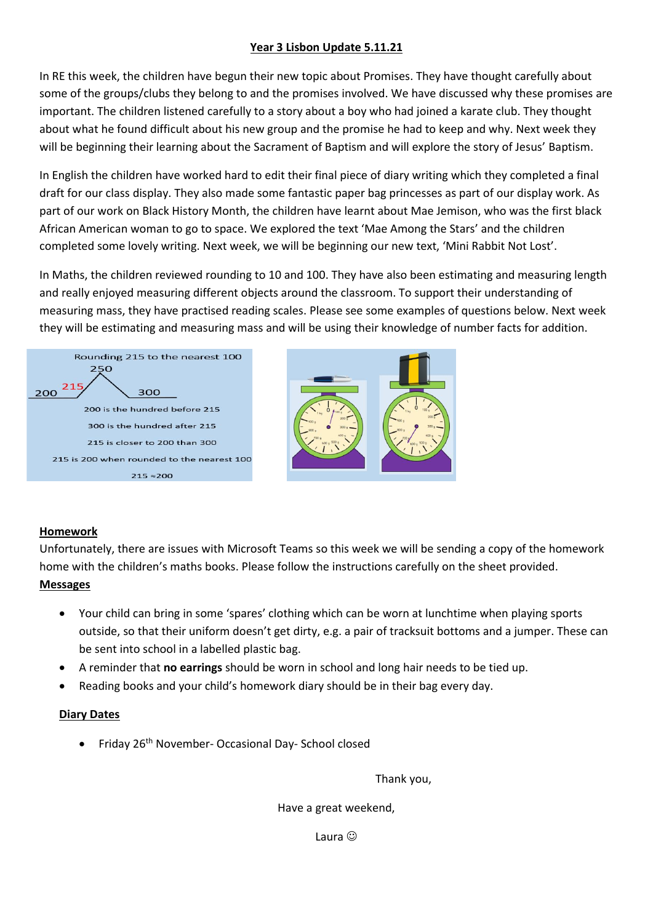## **Year 3 Lisbon Update 5.11.21**

In RE this week, the children have begun their new topic about Promises. They have thought carefully about some of the groups/clubs they belong to and the promises involved. We have discussed why these promises are important. The children listened carefully to a story about a boy who had joined a karate club. They thought about what he found difficult about his new group and the promise he had to keep and why. Next week they will be beginning their learning about the Sacrament of Baptism and will explore the story of Jesus' Baptism.

In English the children have worked hard to edit their final piece of diary writing which they completed a final draft for our class display. They also made some fantastic paper bag princesses as part of our display work. As part of our work on Black History Month, the children have learnt about Mae Jemison, who was the first black African American woman to go to space. We explored the text 'Mae Among the Stars' and the children completed some lovely writing. Next week, we will be beginning our new text, 'Mini Rabbit Not Lost'.

In Maths, the children reviewed rounding to 10 and 100. They have also been estimating and measuring length and really enjoyed measuring different objects around the classroom. To support their understanding of measuring mass, they have practised reading scales. Please see some examples of questions below. Next week they will be estimating and measuring mass and will be using their knowledge of number facts for addition.



## **Homework**

Unfortunately, there are issues with Microsoft Teams so this week we will be sending a copy of the homework home with the children's maths books. Please follow the instructions carefully on the sheet provided. **Messages**

- Your child can bring in some 'spares' clothing which can be worn at lunchtime when playing sports outside, so that their uniform doesn't get dirty, e.g. a pair of tracksuit bottoms and a jumper. These can be sent into school in a labelled plastic bag.
- A reminder that **no earrings** should be worn in school and long hair needs to be tied up.
- Reading books and your child's homework diary should be in their bag every day.

## **Diary Dates**

• Friday 26<sup>th</sup> November- Occasional Day- School closed

Thank you,

Have a great weekend,

Laura ©